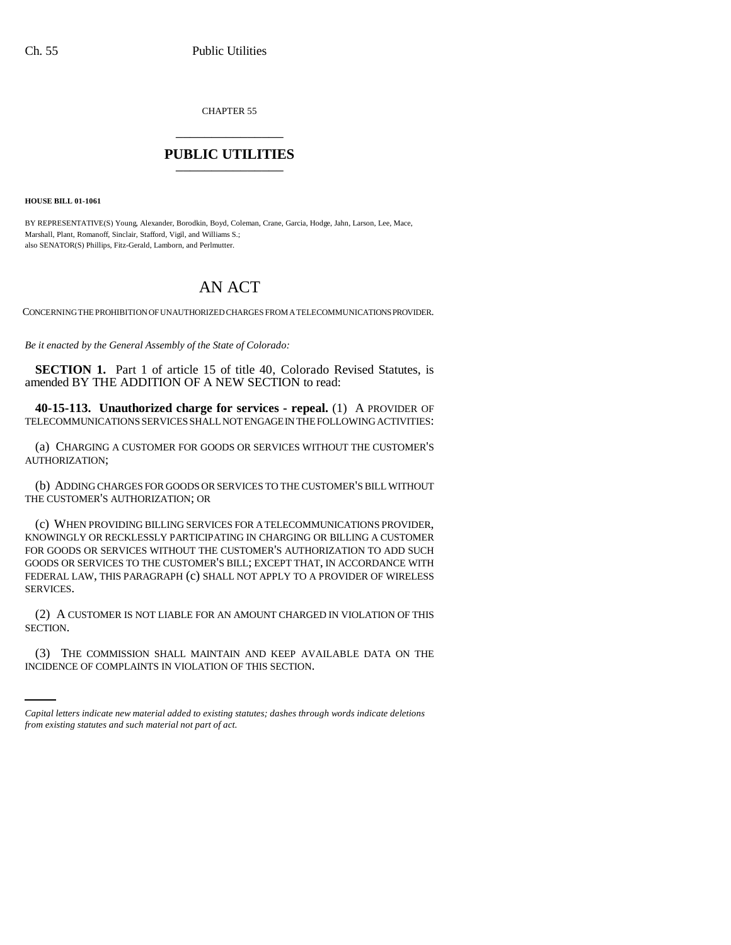CHAPTER 55 \_\_\_\_\_\_\_\_\_\_\_\_\_\_\_

## **PUBLIC UTILITIES** \_\_\_\_\_\_\_\_\_\_\_\_\_\_\_

**HOUSE BILL 01-1061**

BY REPRESENTATIVE(S) Young, Alexander, Borodkin, Boyd, Coleman, Crane, Garcia, Hodge, Jahn, Larson, Lee, Mace, Marshall, Plant, Romanoff, Sinclair, Stafford, Vigil, and Williams S.; also SENATOR(S) Phillips, Fitz-Gerald, Lamborn, and Perlmutter.

## AN ACT

CONCERNING THE PROHIBITION OF UNAUTHORIZED CHARGES FROM A TELECOMMUNICATIONS PROVIDER.

*Be it enacted by the General Assembly of the State of Colorado:*

**SECTION 1.** Part 1 of article 15 of title 40, Colorado Revised Statutes, is amended BY THE ADDITION OF A NEW SECTION to read:

**40-15-113. Unauthorized charge for services - repeal.** (1) A PROVIDER OF TELECOMMUNICATIONS SERVICES SHALL NOT ENGAGE IN THE FOLLOWING ACTIVITIES:

(a) CHARGING A CUSTOMER FOR GOODS OR SERVICES WITHOUT THE CUSTOMER'S AUTHORIZATION;

(b) ADDING CHARGES FOR GOODS OR SERVICES TO THE CUSTOMER'S BILL WITHOUT THE CUSTOMER'S AUTHORIZATION; OR

(c) WHEN PROVIDING BILLING SERVICES FOR A TELECOMMUNICATIONS PROVIDER, KNOWINGLY OR RECKLESSLY PARTICIPATING IN CHARGING OR BILLING A CUSTOMER FOR GOODS OR SERVICES WITHOUT THE CUSTOMER'S AUTHORIZATION TO ADD SUCH GOODS OR SERVICES TO THE CUSTOMER'S BILL; EXCEPT THAT, IN ACCORDANCE WITH FEDERAL LAW, THIS PARAGRAPH (c) SHALL NOT APPLY TO A PROVIDER OF WIRELESS SERVICES.

(2) A CUSTOMER IS NOT LIABLE FOR AN AMOUNT CHARGED IN VIOLATION OF THIS SECTION.

(3) THE COMMISSION SHALL MAINTAIN AND KEEP AVAILABLE DATA ON THE INCIDENCE OF COMPLAINTS IN VIOLATION OF THIS SECTION.

*Capital letters indicate new material added to existing statutes; dashes through words indicate deletions from existing statutes and such material not part of act.*